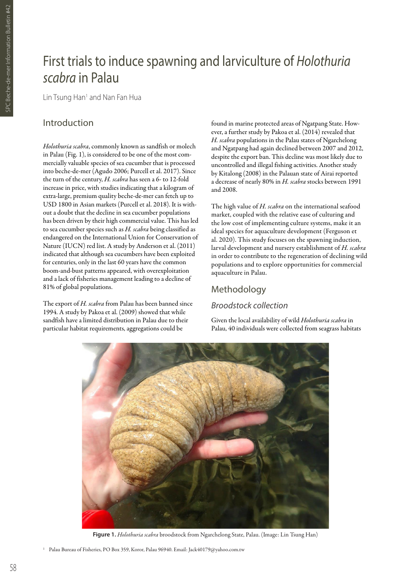# First trials to induce spawning and larviculture of *Holothuria scabra* in Palau

Lin Tsung Han<sup>1</sup> and Nan Fan Hua

# Introduction

*Holothuria scabra*, commonly known as sandfish or molech in Palau (Fig. 1), is considered to be one of the most commercially valuable species of sea cucumber that is processed into beche-de-mer (Agudo 2006; Purcell et al. 2017). Since the turn of the century, *H. scabra* has seen a 6- to 12-fold increase in price, with studies indicating that a kilogram of extra-large, premium quality beche-de-mer can fetch up to USD 1800 in Asian markets (Purcell et al. 2018). It is without a doubt that the decline in sea cucumber populations has been driven by their high commercial value. This has led to sea cucumber species such as *H. scabra* being classified as endangered on the International Union for Conservation of Nature (IUCN) red list. A study by Anderson et al. (2011) indicated that although sea cucumbers have been exploited for centuries, only in the last 60 years have the common boom-and-bust patterns appeared, with overexploitation and a lack of fisheries management leading to a decline of 81% of global populations.

The export of *H. scabra* from Palau has been banned since 1994. A study by Pakoa et al. (2009) showed that while sandfish have a limited distribution in Palau due to their particular habitat requirements, aggregations could be

found in marine protected areas of Ngatpang State. However, a further study by Pakoa et al. (2014) revealed that *H. scabra* populations in the Palau states of Ngarchelong and Ngatpang had again declined between 2007 and 2012, despite the export ban. This decline was most likely due to uncontrolled and illegal fishing activities. Another study by Kitalong (2008) in the Palauan state of Airai reported a decrease of nearly 80% in *H. scabra* stocks between 1991 and 2008.

The high value of *H. scabra* on the international seafood market, coupled with the relative ease of culturing and the low cost of implementing culture systems, make it an ideal species for aquaculture development (Ferguson et al. 2020). This study focuses on the spawning induction, larval development and nursery establishment of *H. scabra* in order to contribute to the regeneration of declining wild populations and to explore opportunities for commercial aquaculture in Palau.

## Methodology

# *Broodstock collection*

Given the local availability of wild *Holothuria scabra* in Palau, 40 individuals were collected from seagrass habitats



**Figure 1.** *Holothuria scabra* broodstock from Ngarchelong State, Palau. (Image: Lin Tsung Han)

<sup>1</sup> Palau Bureau of Fisheries, PO Box 359, Koror, Palau 96940. Email: Jack40179@yahoo.com.tw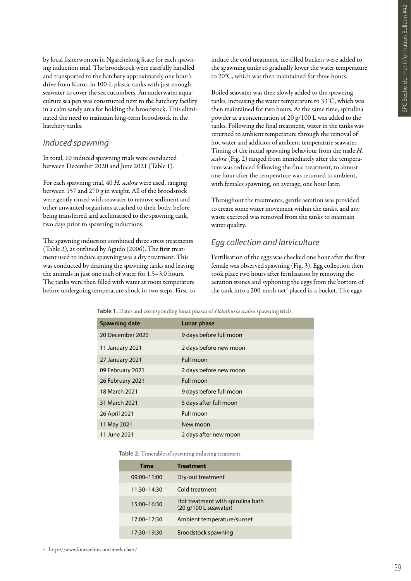by local fisherwomen in Ngarchelong State for each spawning induction trial. The broodstock were carefully handled and transported to the hatchery approximately one hour's drive from Koror, in 100-L plastic tanks with just enough seawater to cover the sea cucumbers. An underwater aquaculture sea pen was constructed next to the hatchery facility in a calm sandy area for holding the broodstock. This eliminated the need to maintain long-term broodstock in the hatchery tanks.

#### *Induced spawning*

In total, 10 induced spawning trials were conducted between December 2020 and June 2021 (Table 1).

For each spawning trial, 40 *H. scabra* were used, ranging between 157 and 270 g in weight. All of the broodstock were gently rinsed with seawater to remove sediment and other unwanted organisms attached to their body, before being transferred and acclimatised to the spawning tank, two days prior to spawning inductions.

The spawning induction combined three stress treatments (Table 2), as outlined by Agudo (2006). The first treatment used to induce spawning was a dry treatment. This was conducted by draining the spawning tanks and leaving the animals in just one inch of water for 1.5–3.0 hours. The tanks were then filled with water at room temperature before undergoing temperature shock in two steps. First, to induce the cold treatment, ice-filled buckets were added to the spawning tanks to gradually lower the water temperature to 20°C, which was then maintained for three hours.

Boiled seawater was then slowly added to the spawning tanks, increasing the water temperature to 33°C, which was then maintained for two hours. At the same time, spirulina powder at a concentration of 20 g/100 L was added to the tanks. Following the final treatment, water in the tanks was returned to ambient temperature through the removal of hot water and addition of ambient temperature seawater. Timing of the initial spawning behaviour from the male *H. scabra* (Fig. 2) ranged from immediately after the temperature was reduced following the final treatment, to almost one hour after the temperature was returned to ambient, with females spawning, on average, one hour later.

Throughout the treatments, gentle aeration was provided to create some water movement within the tanks, and any waste excreted was removed from the tanks to maintain water quality.

#### *Egg collection and larviculture*

Fertilisation of the eggs was checked one hour after the first female was observed spawning (Fig. 3). Egg collection then took place two hours after fertilisation by removing the aeration stones and syphoning the eggs from the bottom of the tank into a 200-mesh net<sup>2</sup> placed in a bucket. The eggs

**Table 1.** Dates and corresponding lunar phases of *Holothuria scabra* spawning trials.

| <b>which is a weed with corresponding turns primed or received the centern opinizing trader</b> |                         |  |  |
|-------------------------------------------------------------------------------------------------|-------------------------|--|--|
| <b>Spawning date</b>                                                                            | Lunar phase             |  |  |
| 20 December 2020                                                                                | 9 days before full moon |  |  |
| 11 January 2021                                                                                 | 2 days before new moon  |  |  |
| 27 January 2021                                                                                 | Full moon               |  |  |
| 09 February 2021                                                                                | 2 days before new moon  |  |  |
| 26 February 2021                                                                                | Full moon               |  |  |
| 18 March 2021                                                                                   | 9 days before full moon |  |  |
| 31 March 2021                                                                                   | 5 days after full moon  |  |  |
| 26 April 2021                                                                                   | Full moon               |  |  |
| 11 May 2021                                                                                     | New moon                |  |  |
| 11 June 2021                                                                                    | 2 days after new moon   |  |  |

**Table 2.** Timetable of spawning inducing treatment.

| <b>Time</b>     | <b>Treatment</b>                                                                     |
|-----------------|--------------------------------------------------------------------------------------|
| 09:00-11:00     | Dry-out treatment                                                                    |
| $11:30 - 14:30$ | Cold treatment                                                                       |
| 15:00-16:30     | Hot treatment with spirulina bath<br>$(20 \text{ g}/100 \text{ L} \text{ seawater})$ |
| 17:00-17:30     | Ambient temperature/sunset                                                           |
| 17:30-19:30     | Broodstock spawning                                                                  |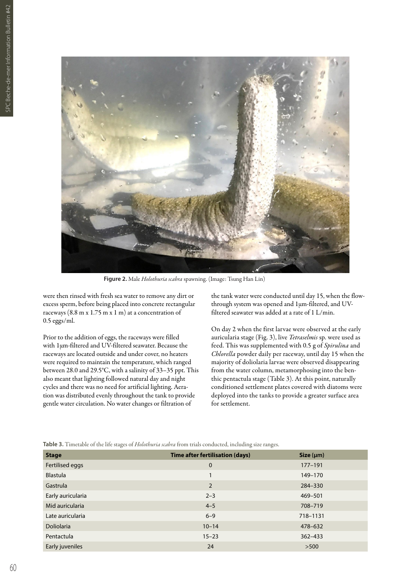

**Figure 2.** Male *Holothuria scabra* spawning. (Image: Tsung Han Lin)

were then rinsed with fresh sea water to remove any dirt or excess sperm, before being placed into concrete rectangular raceways (8.8 m x 1.75 m x 1 m) at a concentration of 0.5 eggs/ml.

Prior to the addition of eggs, the raceways were filled with 1µm-filtered and UV-filtered seawater. Because the raceways are located outside and under cover, no heaters were required to maintain the temperature, which ranged between 28.0 and 29.5°C, with a salinity of 33–35 ppt. This also meant that lighting followed natural day and night cycles and there was no need for artificial lighting. Aeration was distributed evenly throughout the tank to provide gentle water circulation. No water changes or filtration of

the tank water were conducted until day 15, when the flowthrough system was opened and 1µm-filtered, and UVfiltered seawater was added at a rate of 1 L/min.

On day 2 when the first larvae were observed at the early auricularia stage (Fig. 3), live *Tetraselmis* sp. were used as feed. This was supplemented with 0.5 g of *Spirulina* and *Chlorella* powder daily per raceway, until day 15 when the majority of doliolaria larvae were observed disappearing from the water column, metamorphosing into the benthic pentactula stage (Table 3). At this point, naturally conditioned settlement plates covered with diatoms were deployed into the tanks to provide a greater surface area for settlement.

**Table 3.** Timetable of the life stages of *Holothuria scabra* from trials conducted, including size ranges.

| <b>Stage</b>      | Time after fertilisation (days) | Size (µm)   |
|-------------------|---------------------------------|-------------|
| Fertilised eggs   | $\mathbf 0$                     | $177 - 191$ |
| <b>Blastula</b>   |                                 | 149-170     |
| Gastrula          | 2                               | 284-330     |
| Early auricularia | $2 - 3$                         | 469-501     |
| Mid auricularia   | $4 - 5$                         | 708-719     |
| Late auricularia  | $6 - 9$                         | 718-1131    |
| <b>Doliolaria</b> | $10 - 14$                       | 478-632     |
| Pentactula        | $15 - 23$                       | $362 - 433$ |
| Early juveniles   | 24                              | >500        |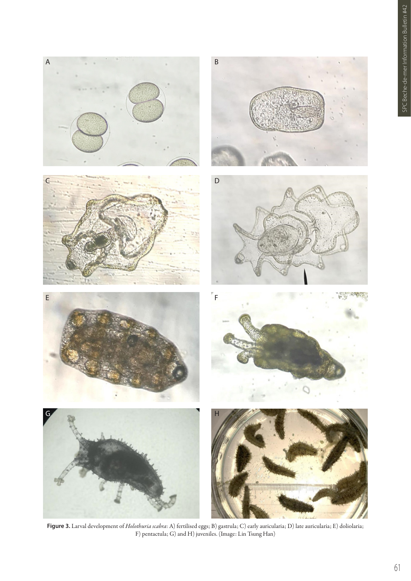

**Figure 3.** Larval development of *Holothuria scabra*: A) fertilised eggs; B) gastrula; C) early auricularia; D) late auricularia; E) doliolaria; F) pentactula; G) and H) juveniles. (Image: Lin Tsung Han)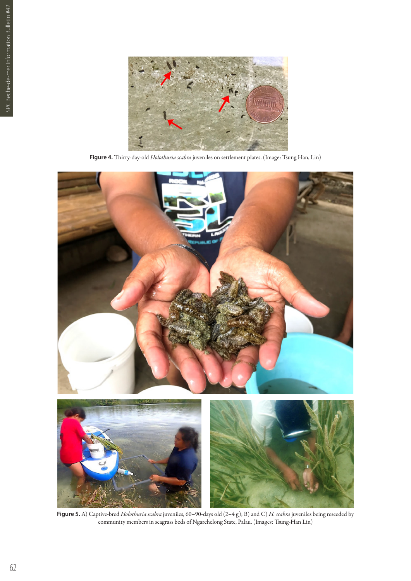

**Figure 4.** Thirty-day-old *Holothuria scabra* juveniles on settlement plates. (Image: Tsung Han, Lin)



**Figure 5.** A) Captive-bred *Holothuria scabra* juveniles, 60–90-days old (2–4 g); B) and C) *H. scabra* juveniles being reseeded by community members in seagrass beds of Ngarchelong State, Palau. (Images: Tsung-Han Lin)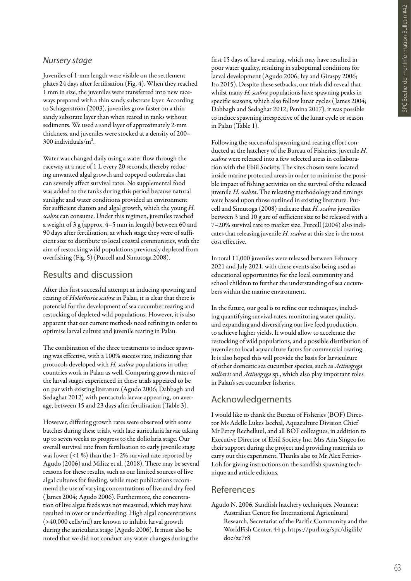### *Nursery stage*

Juveniles of 1-mm length were visible on the settlement plates 24 days after fertilisation (Fig. 4). When they reached 1 mm in size, the juveniles were transferred into new raceways prepared with a thin sandy substrate layer. According to Schagerström (2003), juveniles grow faster on a thin sandy substrate layer than when reared in tanks without sediments. We used a sand layer of approximately 2-mm thickness, and juveniles were stocked at a density of 200– 300 individuals/m².

Water was changed daily using a water flow through the raceway at a rate of 1 L every 20 seconds, thereby reducing unwanted algal growth and copepod outbreaks that can severely affect survival rates. No supplemental food was added to the tanks during this period because natural sunlight and water conditions provided an environment for sufficient diatom and algal growth, which the young *H. scabra* can consume. Under this regimen, juveniles reached a weight of 3 g (approx. 4–5 mm in length) between 60 and 90 days after fertilisation, at which stage they were of sufficient size to distribute to local coastal communities, with the aim of restocking wild populations previously depleted from overfishing (Fig. 5) (Purcell and Simutoga 2008).

# Results and discussion

After this first successful attempt at inducing spawning and rearing of *Holothuria scabra* in Palau, it is clear that there is potential for the development of sea cucumber rearing and restocking of depleted wild populations. However, it is also apparent that our current methods need refining in order to optimise larval culture and juvenile rearing in Palau.

The combination of the three treatments to induce spawning was effective, with a 100% success rate, indicating that protocols developed with *H. scabra* populations in other countries work in Palau as well. Comparing growth rates of the larval stages experienced in these trials appeared to be on par with existing literature (Agudo 2006; Dabbagh and Sedaghat 2012) with pentactula larvae appearing, on average, between 15 and 23 days after fertilisation (Table 3).

However, differing growth rates were observed with some batches during these trials, with late auricularia larvae taking up to seven weeks to progress to the doliolaria stage. Our overall survival rate from fertilisation to early juvenile stage was lower (<1 %) than the 1–2% survival rate reported by Agudo (2006) and Militz et al. (2018). There may be several reasons for these results, such as our limited sources of live algal cultures for feeding, while most publications recommend the use of varying concentrations of live and dry feed ( James 2004; Agudo 2006). Furthermore, the concentration of live algae feeds was not measured, which may have resulted in over or underfeeding. High algal concentrations (>40,000 cells/ml) are known to inhibit larval growth during the auricularia stage (Agudo 2006). It must also be noted that we did not conduct any water changes during the

first 15 days of larval rearing, which may have resulted in poor water quality, resulting in suboptimal conditions for larval development (Agudo 2006; Ivy and Giraspy 2006; Ito 2015). Despite these setbacks, our trials did reveal that whilst many *H. scabra* populations have spawning peaks in specific seasons, which also follow lunar cycles ( James 2004; Dabbagh and Sedaghat 2012; Penina 2017), it was possible to induce spawning irrespective of the lunar cycle or season in Palau (Table 1).

Following the successful spawning and rearing effort conducted at the hatchery of the Bureau of Fisheries, juvenile *H. scabra* were released into a few selected areas in collaboration with the Ebiil Society. The sites chosen were located inside marine protected areas in order to minimise the possible impact of fishing activities on the survival of the released juvenile *H. scabra*. The releasing methodology and timings were based upon those outlined in existing literature. Purcell and Simutoga (2008) indicate that *H. scabra* juveniles between 3 and 10 g are of sufficient size to be released with a 7–20% survival rate to market size. Purcell (2004) also indicates that releasing juvenile *H. scabra* at this size is the most cost effective.

In total 11,000 juveniles were released between February 2021 and July 2021, with these events also being used as educational opportunities for the local community and school children to further the understanding of sea cucumbers within the marine environment.

In the future, our goal is to refine our techniques, including quantifying survival rates, monitoring water quality, and expanding and diversifying our live feed production, to achieve higher yields. It would allow to accelerate the restocking of wild populations, and a possible distribution of juveniles to local aquaculture farms for commercial rearing. It is also hoped this will provide the basis for larviculture of other domestic sea cucumber species, such as *Actinopyga miliaris* and *Actinopyga* sp., which also play important roles in Palau's sea cucumber fisheries.

# Acknowledgements

I would like to thank the Bureau of Fisheries (BOF) Director Ms Adelle Lukes Isechal, Aquaculture Division Chief Mr Percy Rechelluul, and all BOF colleagues, in addition to Executive Director of Ebiil Society Inc. Mrs Ann Singeo for their support during the project and providing materials to carry out this experiment. Thanks also to Mr Alex Ferrier-Loh for giving instructions on the sandfish spawning technique and article editions.

## References

Agudo N. 2006. Sandfish hatchery techniques. Noumea: Australian Centre for International Agricultural Research, Secretariat of the Pacific Community and the WorldFish Center. 44 p. https://purl.org/spc/digilib/ doc/ze7r8